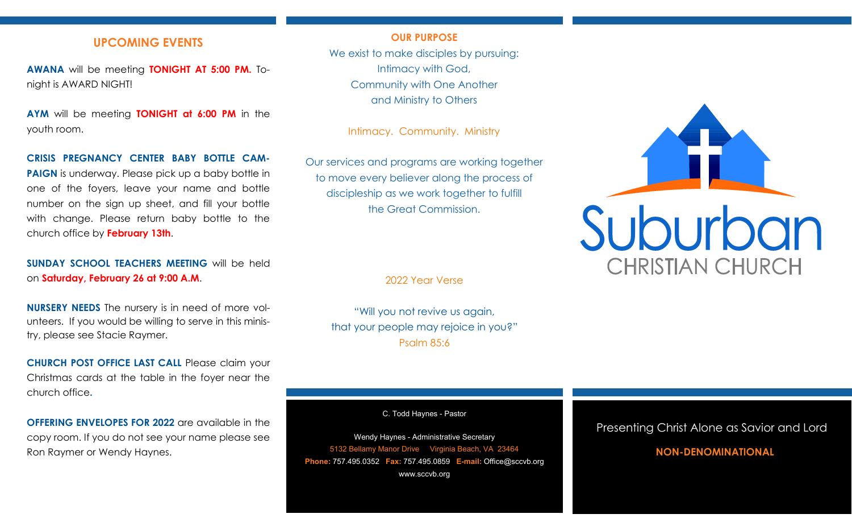# **UPCOMING EVENTS**

**AWANA** will be meeting **TONIGHT AT 5:00 PM.** Tonight is AWARD NIGHT!

**AYM** will be meeting **TONIGHT at 6:00 PM** in the youth room.

## **CRISIS PREGNANCY CENTER BABY BOTTLE CAM-**

**PAIGN** is underway. Please pick up a baby bottle in one of the foyers, leave your name and bottle number on the sign up sheet, and fill your bottle with change. Please return baby bottle to the church office by **February 13th**.

# **SUNDAY SCHOOL TEACHERS MEETING** will be held on **Saturday, February 26 at 9:00 A.M**.

**NURSERY NEEDS** The nursery is in need of more volunteers. If you would be willing to serve in this ministry, please see Stacie Raymer.

**CHURCH POST OFFICE LAST CALL** Please claim your Christmas cards at the table in the foyer near the church office**.**

**OFFERING ENVELOPES FOR 2022** are available in the copy room. If you do not see your name please see Ron Raymer or Wendy Haynes.

## **OUR PURPOSE**

We exist to make disciples by pursuing: Intimacy with God, Community with One Another and Ministry to Others

Intimacy. Community. Ministry

Our services and programs are working together to move every believer along the process of discipleship as we work together to fulfill the Great Commission.

2022 Year Verse

"Will you not revive us again, that your people may rejoice in you?" Psalm 85:6

C. Todd Haynes - Pastor

Wendy Haynes - Administrative Secretary 5132 Bellamy Manor Drive Virginia Beach, VA 23464 **Phone:** 757.495.0352 **Fax:** 757.495.0859 **E-mail:** Office@sccvb.org www.sccvb.org



## Presenting Christ Alone as Savior and Lord

## **NON-DENOMINATIONAL**